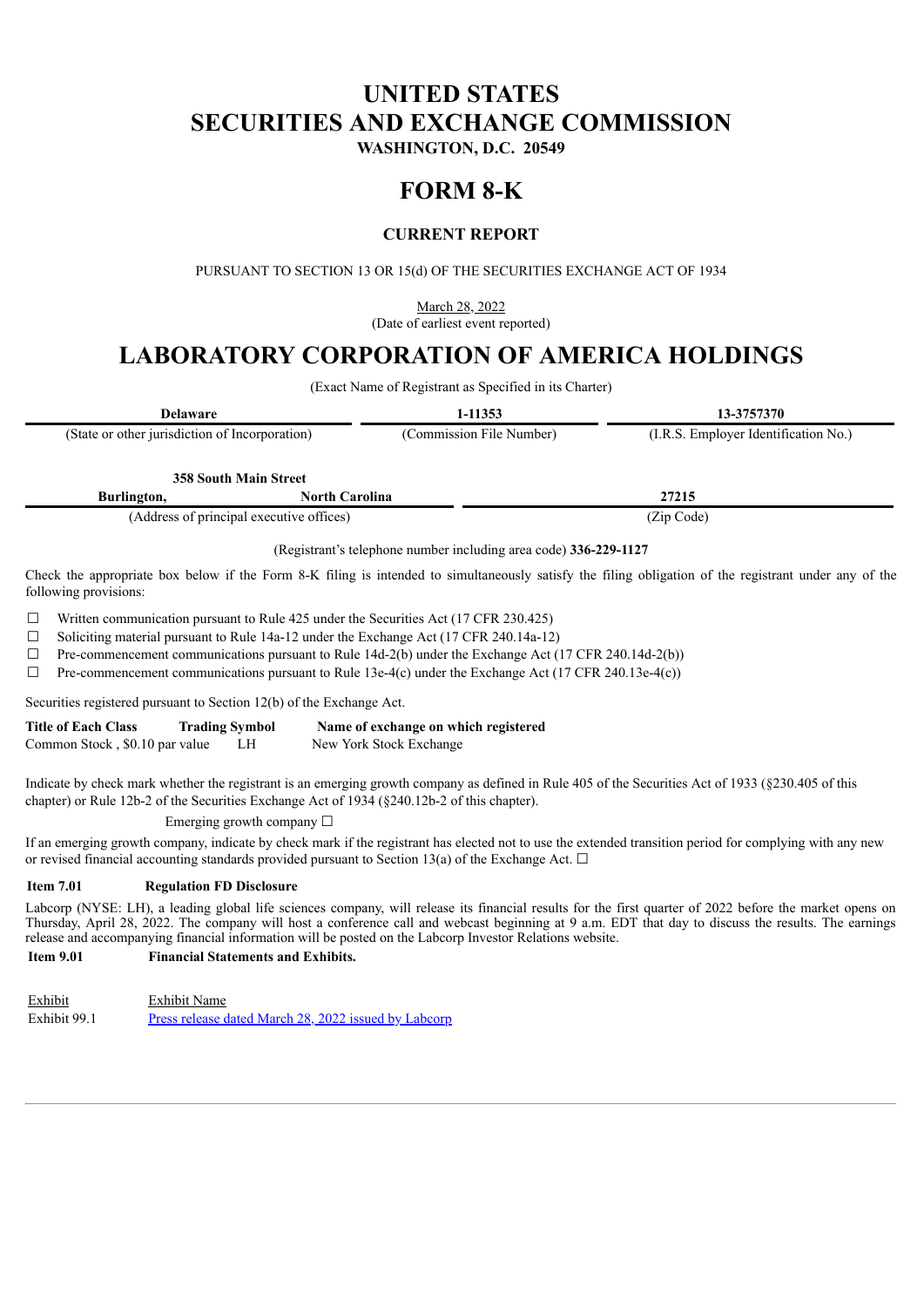# **UNITED STATES SECURITIES AND EXCHANGE COMMISSION**

**WASHINGTON, D.C. 20549**

## **FORM 8-K**

### **CURRENT REPORT**

PURSUANT TO SECTION 13 OR 15(d) OF THE SECURITIES EXCHANGE ACT OF 1934

March 28, 2022 (Date of earliest event reported)

## **LABORATORY CORPORATION OF AMERICA HOLDINGS**

(Exact Name of Registrant as Specified in its Charter)

| <b>Delaware</b>                                |                              | 1-11353                  | 13-3757370                           |  |
|------------------------------------------------|------------------------------|--------------------------|--------------------------------------|--|
| (State or other jurisdiction of Incorporation) |                              | (Commission File Number) | (I.R.S. Employer Identification No.) |  |
|                                                | <b>358 South Main Street</b> |                          |                                      |  |
| Burlington,                                    | <b>North Carolina</b>        |                          | 27215                                |  |

(Address of principal executive offices) (Zip Code)

(Registrant's telephone number including area code) **336-229-1127**

Check the appropriate box below if the Form 8-K filing is intended to simultaneously satisfy the filing obligation of the registrant under any of the following provisions:

 $\Box$  Written communication pursuant to Rule 425 under the Securities Act (17 CFR 230.425)

☐ Soliciting material pursuant to Rule 14a-12 under the Exchange Act (17 CFR 240.14a-12)

 $\Box$  Pre-commencement communications pursuant to Rule 14d-2(b) under the Exchange Act (17 CFR 240.14d-2(b))

 $\Box$  Pre-commencement communications pursuant to Rule 13e-4(c) under the Exchange Act (17 CFR 240.13e-4(c))

Securities registered pursuant to Section 12(b) of the Exchange Act.

| <b>Title of Each Class</b>     | <b>Trading Symbol</b> |     | Name of exchange on which registered |
|--------------------------------|-----------------------|-----|--------------------------------------|
| Common Stock, \$0.10 par value |                       | LH. | New York Stock Exchange              |

Indicate by check mark whether the registrant is an emerging growth company as defined in Rule 405 of the Securities Act of 1933 (§230.405 of this chapter) or Rule 12b-2 of the Securities Exchange Act of 1934 (§240.12b-2 of this chapter).

Emerging growth company  $\Box$ 

If an emerging growth company, indicate by check mark if the registrant has elected not to use the extended transition period for complying with any new or revised financial accounting standards provided pursuant to Section 13(a) of the Exchange Act.  $\Box$ 

#### **Item 7.01 Regulation FD Disclosure**

Labcorp (NYSE: LH), a leading global life sciences company, will release its financial results for the first quarter of 2022 before the market opens on Thursday, April 28, 2022. The company will host a conference call and webcast beginning at 9 a.m. EDT that day to discuss the results. The earnings release and accompanying financial information will be posted on the Labcorp Investor Relations website.

#### **Item 9.01 Financial Statements and Exhibits.**

Exhibit Exhibit Name Exhibit 99.1 Press release dated March 28, 2022 issued by [Labcorp](#page-2-0)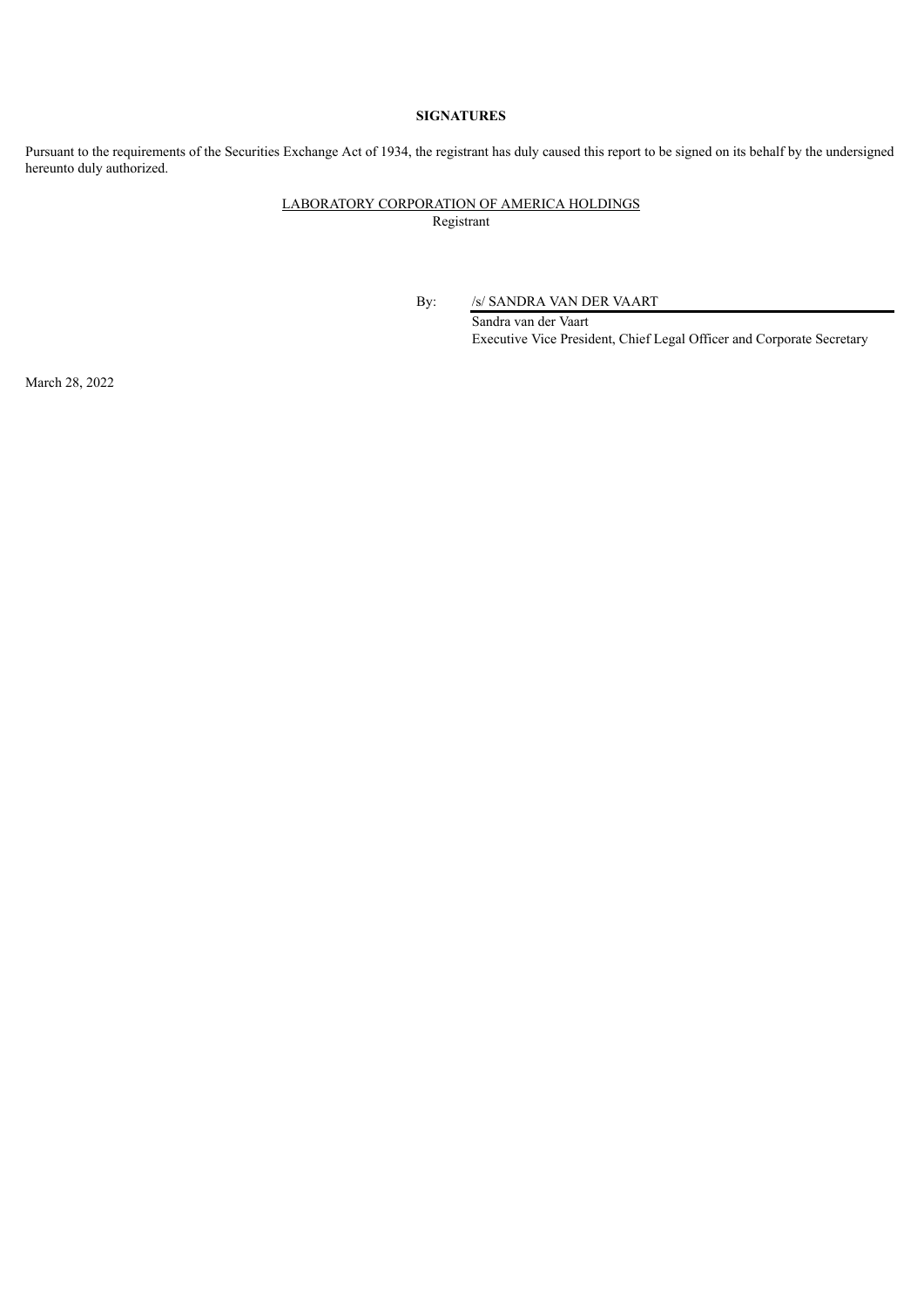#### **SIGNATURES**

Pursuant to the requirements of the Securities Exchange Act of 1934, the registrant has duly caused this report to be signed on its behalf by the undersigned hereunto duly authorized.

### LABORATORY CORPORATION OF AMERICA HOLDINGS

Registrant

By: /s/ SANDRA VAN DER VAART

Sandra van der Vaart Executive Vice President, Chief Legal Officer and Corporate Secretary

March 28, 2022